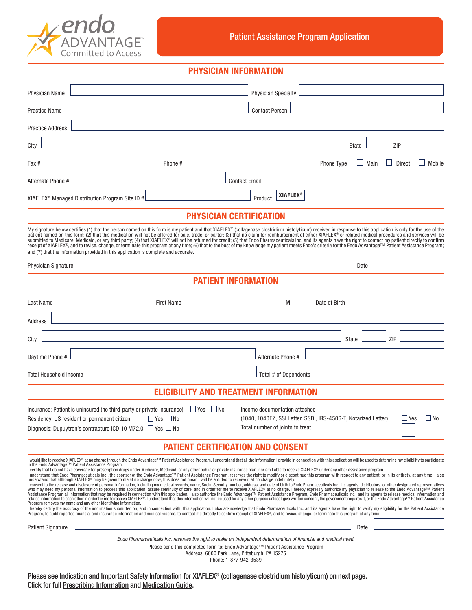

## PHYSICIAN INFORMATION

| <b>Physician Name</b>                                                                                                                                                                                                                                                                                                                                                                                                                                                                                                                                                                                                                                                                                                                                                                                                                                                                                                                                                                                                                                                                                                                                                                                                                                                                                                                                                                                                                                                                                                                                                                                                                                                                                                                                                                                                                                                           |                                                                            | <b>Physician Specialty</b>                                       |                                                                |                                 |
|---------------------------------------------------------------------------------------------------------------------------------------------------------------------------------------------------------------------------------------------------------------------------------------------------------------------------------------------------------------------------------------------------------------------------------------------------------------------------------------------------------------------------------------------------------------------------------------------------------------------------------------------------------------------------------------------------------------------------------------------------------------------------------------------------------------------------------------------------------------------------------------------------------------------------------------------------------------------------------------------------------------------------------------------------------------------------------------------------------------------------------------------------------------------------------------------------------------------------------------------------------------------------------------------------------------------------------------------------------------------------------------------------------------------------------------------------------------------------------------------------------------------------------------------------------------------------------------------------------------------------------------------------------------------------------------------------------------------------------------------------------------------------------------------------------------------------------------------------------------------------------|----------------------------------------------------------------------------|------------------------------------------------------------------|----------------------------------------------------------------|---------------------------------|
| Practice Name                                                                                                                                                                                                                                                                                                                                                                                                                                                                                                                                                                                                                                                                                                                                                                                                                                                                                                                                                                                                                                                                                                                                                                                                                                                                                                                                                                                                                                                                                                                                                                                                                                                                                                                                                                                                                                                                   |                                                                            | <b>Contact Person</b>                                            |                                                                |                                 |
| <b>Practice Address</b>                                                                                                                                                                                                                                                                                                                                                                                                                                                                                                                                                                                                                                                                                                                                                                                                                                                                                                                                                                                                                                                                                                                                                                                                                                                                                                                                                                                                                                                                                                                                                                                                                                                                                                                                                                                                                                                         |                                                                            |                                                                  |                                                                |                                 |
| City                                                                                                                                                                                                                                                                                                                                                                                                                                                                                                                                                                                                                                                                                                                                                                                                                                                                                                                                                                                                                                                                                                                                                                                                                                                                                                                                                                                                                                                                                                                                                                                                                                                                                                                                                                                                                                                                            |                                                                            |                                                                  | <b>State</b>                                                   | ZIP                             |
| Fax #                                                                                                                                                                                                                                                                                                                                                                                                                                                                                                                                                                                                                                                                                                                                                                                                                                                                                                                                                                                                                                                                                                                                                                                                                                                                                                                                                                                                                                                                                                                                                                                                                                                                                                                                                                                                                                                                           | Phone #                                                                    |                                                                  | <b>Phone Type</b>                                              | Main<br><b>Direct</b><br>Mobile |
| Alternate Phone #                                                                                                                                                                                                                                                                                                                                                                                                                                                                                                                                                                                                                                                                                                                                                                                                                                                                                                                                                                                                                                                                                                                                                                                                                                                                                                                                                                                                                                                                                                                                                                                                                                                                                                                                                                                                                                                               |                                                                            | <b>Contact Email</b>                                             |                                                                |                                 |
| XIAFLEX <sup>®</sup> Managed Distribution Program Site ID #                                                                                                                                                                                                                                                                                                                                                                                                                                                                                                                                                                                                                                                                                                                                                                                                                                                                                                                                                                                                                                                                                                                                                                                                                                                                                                                                                                                                                                                                                                                                                                                                                                                                                                                                                                                                                     |                                                                            | <b>XIAFLEX<sup>®</sup></b><br>Product                            |                                                                |                                 |
| <b>PHYSICIAN CERTIFICATION</b>                                                                                                                                                                                                                                                                                                                                                                                                                                                                                                                                                                                                                                                                                                                                                                                                                                                                                                                                                                                                                                                                                                                                                                                                                                                                                                                                                                                                                                                                                                                                                                                                                                                                                                                                                                                                                                                  |                                                                            |                                                                  |                                                                |                                 |
| My signature below certifies (1) that the person named on this form is my patient and that XIAFLEX® (collagenase clostridium histolyticum) received in response to this application is only for the use of the<br>patient named on this form; (2) that this medication will not be offered for sale, trade, or barter; (3) that no claim for reimbursement of either XIAFLEX® or related medical procedures and services will be<br>submitted to Medicare, Medicaid, or any third party; (4) that XIAFLEX® will not be returned for credit; (5) that Endo Pharmaceuticals Inc. and its agents have the right to contact my patient directly to confirm<br>receipt of XIAFLEX®, and to revise, change, or terminate this program at any time; (6) that to the best of my knowledge my patient meets Endo's criteria for the Endo Advantage™ Patient Assistance Program;<br>and (7) that the information provided in this application is complete and accurate.                                                                                                                                                                                                                                                                                                                                                                                                                                                                                                                                                                                                                                                                                                                                                                                                                                                                                                                   |                                                                            |                                                                  |                                                                |                                 |
| <b>Physician Signature</b>                                                                                                                                                                                                                                                                                                                                                                                                                                                                                                                                                                                                                                                                                                                                                                                                                                                                                                                                                                                                                                                                                                                                                                                                                                                                                                                                                                                                                                                                                                                                                                                                                                                                                                                                                                                                                                                      | the control of the control of the control of the control of the control of |                                                                  | Date                                                           |                                 |
| <b>PATIENT INFORMATION</b>                                                                                                                                                                                                                                                                                                                                                                                                                                                                                                                                                                                                                                                                                                                                                                                                                                                                                                                                                                                                                                                                                                                                                                                                                                                                                                                                                                                                                                                                                                                                                                                                                                                                                                                                                                                                                                                      |                                                                            |                                                                  |                                                                |                                 |
| Last Name                                                                                                                                                                                                                                                                                                                                                                                                                                                                                                                                                                                                                                                                                                                                                                                                                                                                                                                                                                                                                                                                                                                                                                                                                                                                                                                                                                                                                                                                                                                                                                                                                                                                                                                                                                                                                                                                       | <b>First Name</b>                                                          | MI                                                               | Date of Birth                                                  |                                 |
| Address                                                                                                                                                                                                                                                                                                                                                                                                                                                                                                                                                                                                                                                                                                                                                                                                                                                                                                                                                                                                                                                                                                                                                                                                                                                                                                                                                                                                                                                                                                                                                                                                                                                                                                                                                                                                                                                                         |                                                                            |                                                                  |                                                                |                                 |
| City                                                                                                                                                                                                                                                                                                                                                                                                                                                                                                                                                                                                                                                                                                                                                                                                                                                                                                                                                                                                                                                                                                                                                                                                                                                                                                                                                                                                                                                                                                                                                                                                                                                                                                                                                                                                                                                                            |                                                                            |                                                                  | State                                                          | ZIP                             |
| Daytime Phone #                                                                                                                                                                                                                                                                                                                                                                                                                                                                                                                                                                                                                                                                                                                                                                                                                                                                                                                                                                                                                                                                                                                                                                                                                                                                                                                                                                                                                                                                                                                                                                                                                                                                                                                                                                                                                                                                 |                                                                            | Alternate Phone #                                                |                                                                |                                 |
| <b>Total Household Income</b>                                                                                                                                                                                                                                                                                                                                                                                                                                                                                                                                                                                                                                                                                                                                                                                                                                                                                                                                                                                                                                                                                                                                                                                                                                                                                                                                                                                                                                                                                                                                                                                                                                                                                                                                                                                                                                                   |                                                                            | Total # of Dependents                                            |                                                                |                                 |
| <b>ELIGIBILITY AND TREATMENT INFORMATION</b>                                                                                                                                                                                                                                                                                                                                                                                                                                                                                                                                                                                                                                                                                                                                                                                                                                                                                                                                                                                                                                                                                                                                                                                                                                                                                                                                                                                                                                                                                                                                                                                                                                                                                                                                                                                                                                    |                                                                            |                                                                  |                                                                |                                 |
| Insurance: Patient is uninsured (no third-party or private insurance)<br>Residency: US resident or permanent citizen<br>Diagnosis: Dupuytren's contracture ICD-10 M72.0 $\Box$ Yes $\Box$ No                                                                                                                                                                                                                                                                                                                                                                                                                                                                                                                                                                                                                                                                                                                                                                                                                                                                                                                                                                                                                                                                                                                                                                                                                                                                                                                                                                                                                                                                                                                                                                                                                                                                                    | $\Box$ Yes $\Box$ No<br>$\Box$ Yes $\Box$ No                               | Income documentation attached<br>Total number of joints to treat | (1040, 1040EZ, SSI Letter, SSDI, IRS-4506-T, Notarized Letter) | $\Box$ No<br>$\Box$ Yes         |
| <b>PATIENT CERTIFICATION AND CONSENT</b>                                                                                                                                                                                                                                                                                                                                                                                                                                                                                                                                                                                                                                                                                                                                                                                                                                                                                                                                                                                                                                                                                                                                                                                                                                                                                                                                                                                                                                                                                                                                                                                                                                                                                                                                                                                                                                        |                                                                            |                                                                  |                                                                |                                 |
| I would like to receive XIAFLEX® at no charge through the Endo Advantage™ Patient Assistance Program. I understand that all the information I provide in connection with this application will be used to determine my eligibi<br>in the Endo Advantage™ Patient Assistance Program.<br>I certify that I do not have coverage for prescription drugs under Medicare, Medicaid, or any other public or private insurance plan, nor am I able to receive XIAFLEX® under any other assistance program.<br>I understand that Endo Pharmaceuticals Inc., the sponsor of the Endo Advantage™ Patient Assistance Program, reserves the right to modify or discontinue this program with respect to any patient, or in its entirety, at any<br>understand that although XIAFLEX® may be given to me at no charge now, this does not mean I will be entitled to receive it at no charge indefinitely.<br>I consent to the release and disclosure of personal information, including my medical records, name, Social Security number, address, and date of birth to Endo Pharmaceuticals Inc., its agents, distributors, or other desig<br>vino may need my personal information to process this application, ansume continuity of care, and in order for me to receive XIAFLEX®. thus observe that the find o charge. I hereby expressive and or and wanted in publisic<br>Program removes my name and any other identifying information.<br>I hereby certify the accuracy of the information submitted on, and in connection with, this application. I also acknowledge that Endo Pharmaceuticals Inc. and its agents have the right to verify my eligibility for the Pati<br>Program, to audit reported financial and insurance information and medical records, to contact me directly to confirm receipt of XIAFLEX®, and to revise, change, or terminate this program at any time. |                                                                            |                                                                  |                                                                |                                 |
| <b>Patient Signature</b><br>Date<br>Endo Pharmaceuticals Inc. reserves the right to make an independent determination of financial and medical need.<br>Please send this completed form to: Endo Advantage™ Patient Assistance Program<br>Address: 6000 Park Lane, Pittsburgh, PA 15275<br>Phone: 1-877-942-3539                                                                                                                                                                                                                                                                                                                                                                                                                                                                                                                                                                                                                                                                                                                                                                                                                                                                                                                                                                                                                                                                                                                                                                                                                                                                                                                                                                                                                                                                                                                                                                |                                                                            |                                                                  |                                                                |                                 |

Please see Indication and Important Safety Information for XIAFLEX® (collagenase clostridium histolyticum) on next page. Click for full [Prescribing Information](https://endodocuments.com/XIAFLEX/PI) and [Medication Guide](https://endodocuments.com/XIAFLEX/MG).